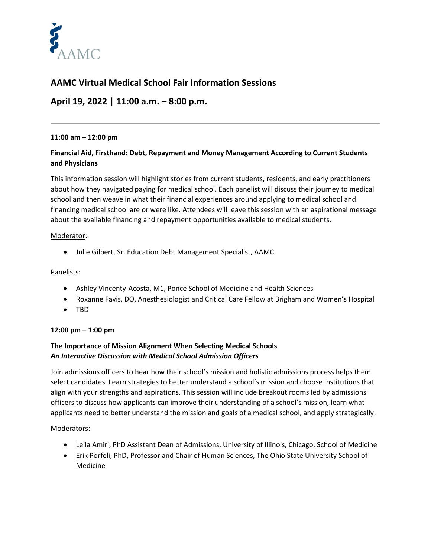

# **AAMC Virtual Medical School Fair Information Sessions**

# **April 19, 2022 | 11:00 a.m. – 8:00 p.m.**

## **11:00 am – 12:00 pm**

# **Financial Aid, Firsthand: Debt, Repayment and Money Management According to Current Students and Physicians**

This information session will highlight stories from current students, residents, and early practitioners about how they navigated paying for medical school. Each panelist will discuss their journey to medical school and then weave in what their financial experiences around applying to medical school and financing medical school are or were like. Attendees will leave this session with an aspirational message about the available financing and repayment opportunities available to medical students.

## Moderator:

• Julie Gilbert, Sr. Education Debt Management Specialist, AAMC

## Panelists:

- Ashley Vincenty-Acosta, M1, Ponce School of Medicine and Health Sciences
- Roxanne Favis, DO, Anesthesiologist and Critical Care Fellow at Brigham and Women's Hospital
- TBD

# **12:00 pm – 1:00 pm**

# **The Importance of Mission Alignment When Selecting Medical Schools** *An Interactive Discussion with Medical School Admission Officers*

Join admissions officers to hear how their school's mission and holistic admissions process helps them select candidates. Learn strategies to better understand a school's mission and choose institutions that align with your strengths and aspirations. This session will include breakout rooms led by admissions officers to discuss how applicants can improve their understanding of a school's mission, learn what applicants need to better understand the mission and goals of a medical school, and apply strategically.

## Moderators:

- Leila Amiri, PhD Assistant Dean of Admissions, University of Illinois, Chicago, School of Medicine
- Erik Porfeli, PhD, Professor and Chair of Human Sciences, The Ohio State University School of Medicine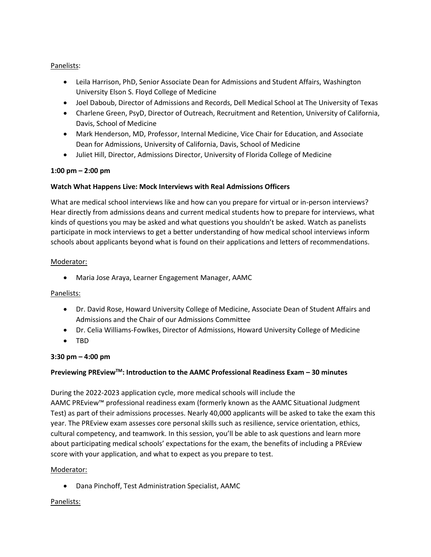# Panelists:

- Leila Harrison, PhD, Senior Associate Dean for Admissions and Student Affairs, Washington University Elson S. Floyd College of Medicine
- Joel Daboub, Director of Admissions and Records, Dell Medical School at The University of Texas
- Charlene Green, PsyD, Director of Outreach, Recruitment and Retention, University of California, Davis, School of Medicine
- Mark Henderson, MD, Professor, Internal Medicine, Vice Chair for Education, and Associate Dean for Admissions, University of California, Davis, School of Medicine
- Juliet Hill, Director, Admissions Director, University of Florida College of Medicine

## **1:00 pm – 2:00 pm**

## **Watch What Happens Live: Mock Interviews with Real Admissions Officers**

What are medical school interviews like and how can you prepare for virtual or in-person interviews? Hear directly from admissions deans and current medical students how to prepare for interviews, what kinds of questions you may be asked and what questions you shouldn't be asked. Watch as panelists participate in mock interviews to get a better understanding of how medical school interviews inform schools about applicants beyond what is found on their applications and letters of recommendations.

## Moderator:

• Maria Jose Araya, Learner Engagement Manager, AAMC

## Panelists:

- Dr. David Rose, Howard University College of Medicine, Associate Dean of Student Affairs and Admissions and the Chair of our Admissions Committee
- Dr. Celia Williams-Fowlkes, Director of Admissions, Howard University College of Medicine
- TBD

# **3:30 pm – 4:00 pm**

# **Previewing PREviewTM: Introduction to the AAMC Professional Readiness Exam – 30 minutes**

During the 2022-2023 application cycle, more medical schools will include the

AAMC PREview™ professional readiness exam (formerly known as the AAMC Situational Judgment Test) as part of their admissions processes. Nearly 40,000 applicants will be asked to take the exam this year. The PREview exam assesses core personal skills such as resilience, service orientation, ethics, cultural competency, and teamwork. In this session, you'll be able to ask questions and learn more about participating medical schools' expectations for the exam, the benefits of including a PREview score with your application, and what to expect as you prepare to test.

## Moderator:

• Dana Pinchoff, Test Administration Specialist, AAMC

## Panelists: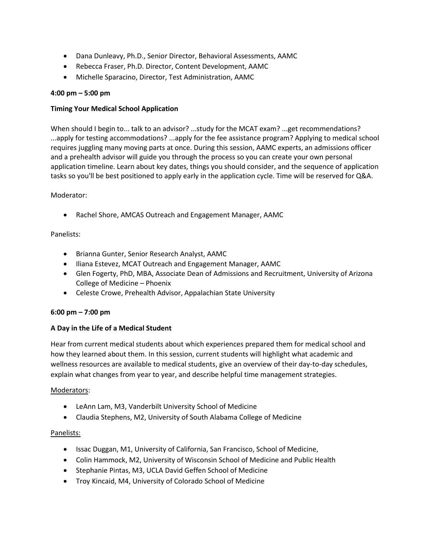- Dana Dunleavy, Ph.D., Senior Director, Behavioral Assessments, AAMC
- Rebecca Fraser, Ph.D. Director, Content Development, AAMC
- Michelle Sparacino, Director, Test Administration, AAMC

## **4:00 pm – 5:00 pm**

## **Timing Your Medical School Application**

When should I begin to... talk to an advisor? ...study for the MCAT exam? ...get recommendations? ...apply for testing accommodations? ...apply for the fee assistance program? Applying to medical school requires juggling many moving parts at once. During this session, AAMC experts, an admissions officer and a prehealth advisor will guide you through the process so you can create your own personal application timeline. Learn about key dates, things you should consider, and the sequence of application tasks so you'll be best positioned to apply early in the application cycle. Time will be reserved for Q&A.

## Moderator:

• Rachel Shore, AMCAS Outreach and Engagement Manager, AAMC

## Panelists:

- Brianna Gunter, Senior Research Analyst, AAMC
- Iliana Estevez, MCAT Outreach and Engagement Manager, AAMC
- Glen Fogerty, PhD, MBA, Associate Dean of Admissions and Recruitment, University of Arizona College of Medicine – Phoenix
- Celeste Crowe, Prehealth Advisor, Appalachian State University

## **6:00 pm – 7:00 pm**

## **A Day in the Life of a Medical Student**

Hear from current medical students about which experiences prepared them for medical school and how they learned about them. In this session, current students will highlight what academic and wellness resources are available to medical students, give an overview of their day-to-day schedules, explain what changes from year to year, and describe helpful time management strategies.

## Moderators:

- LeAnn Lam, M3, Vanderbilt University School of Medicine
- Claudia Stephens, M2, University of South Alabama College of Medicine

## Panelists:

- Issac Duggan, M1, University of California, San Francisco, School of Medicine,
- Colin Hammock, M2, University of Wisconsin School of Medicine and Public Health
- Stephanie Pintas, M3, UCLA David Geffen School of Medicine
- Troy Kincaid, M4, University of Colorado School of Medicine